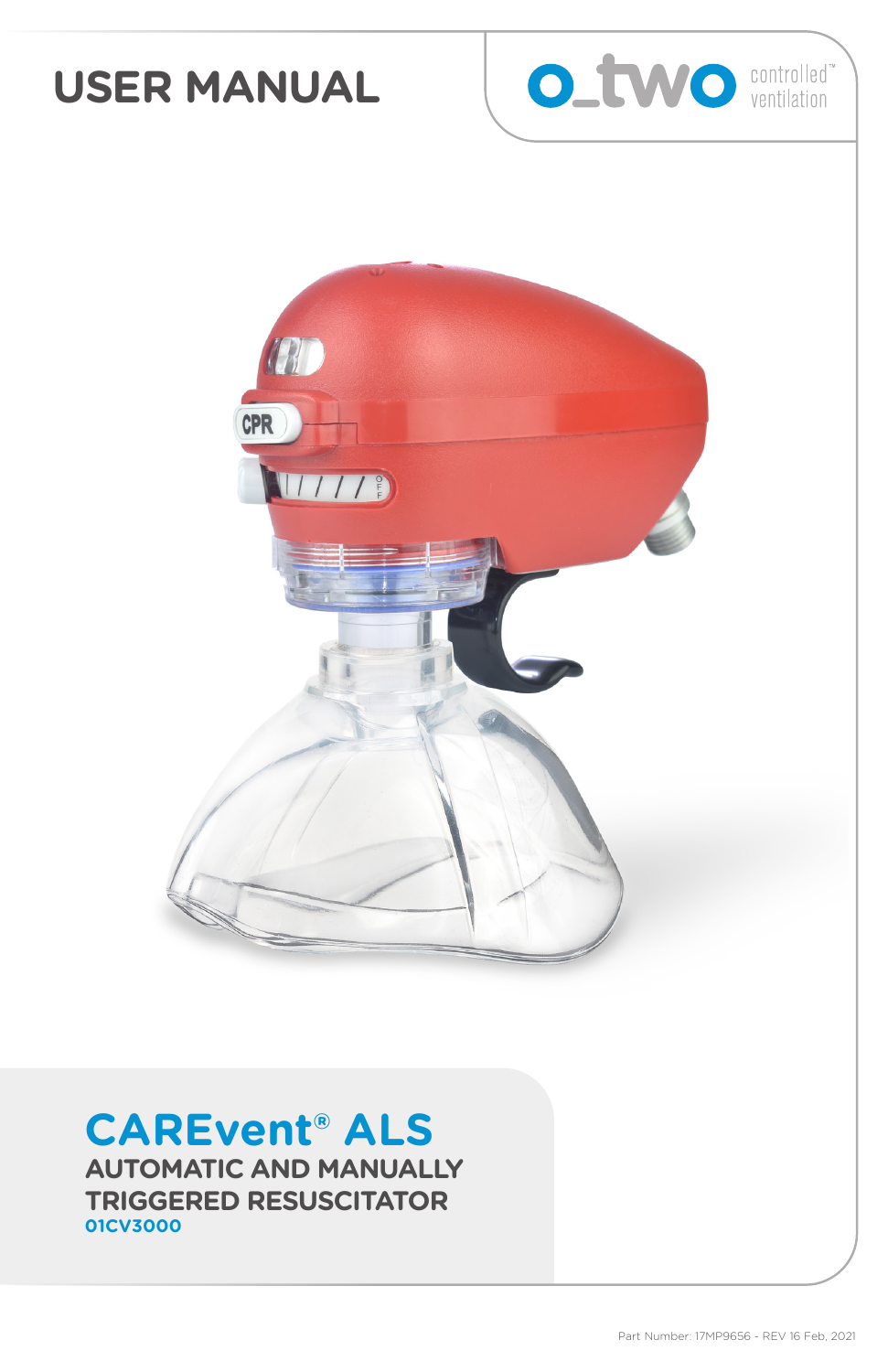# **USER MANUAL**





# **CAREvent® ALS**

**AUTOMATIC AND MANUALLY TRIGGERED RESUSCITATOR 01CV3000**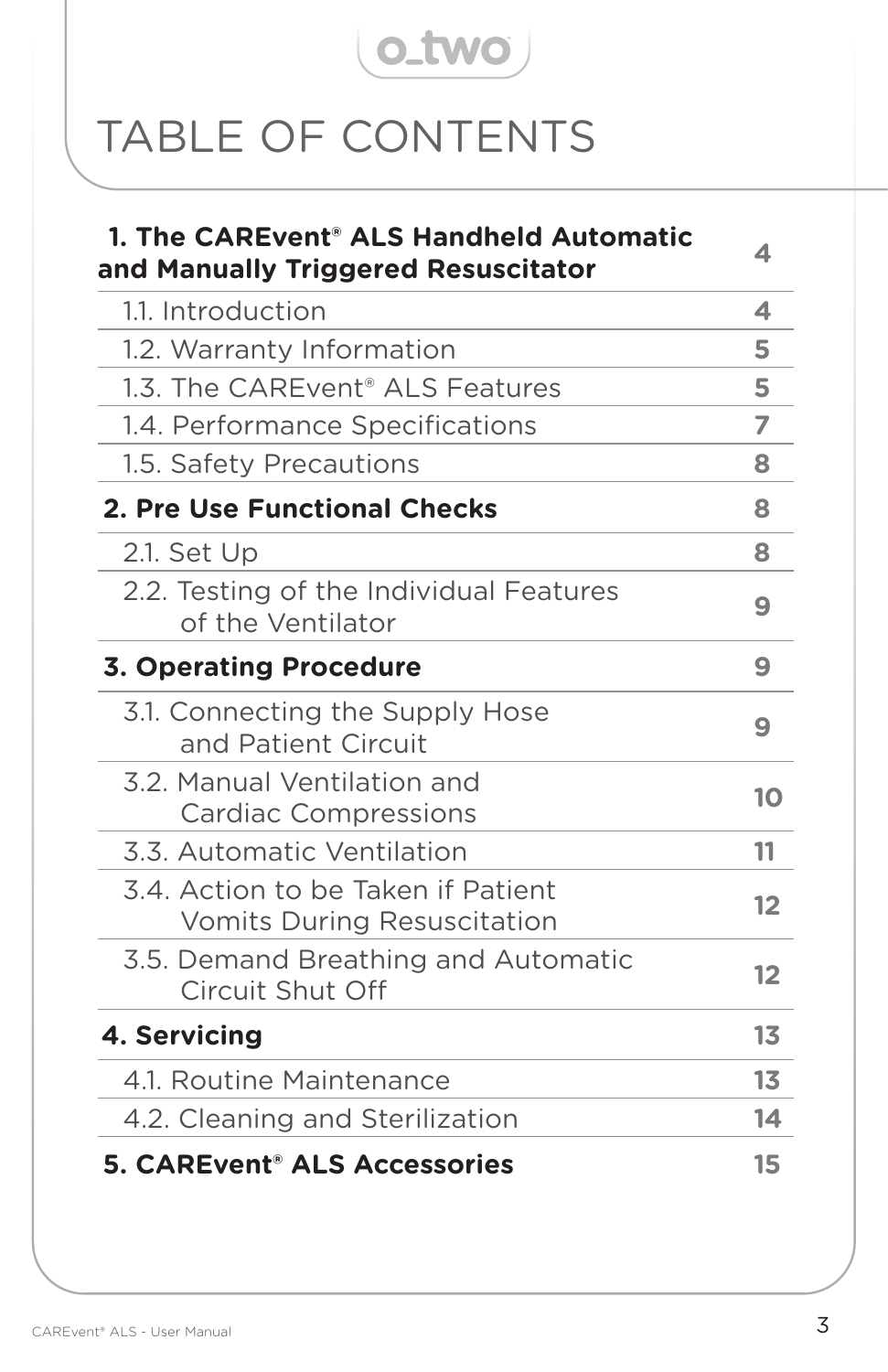# o\_two

# TABLE OF CONTENTS

| 1. The CAREvent <sup>®</sup> ALS Handheld Automatic<br>and Manually Triggered Resuscitator | 4              |
|--------------------------------------------------------------------------------------------|----------------|
| 1.1. Introduction                                                                          | 4              |
| 1.2. Warranty Information                                                                  | 5              |
| 1.3. The CAREvent <sup>®</sup> ALS Features                                                | 5              |
| 1.4. Performance Specifications                                                            | 7              |
| 1.5. Safety Precautions                                                                    | 8              |
| 2. Pre Use Functional Checks                                                               | 8              |
| $2.1.$ Set Up                                                                              | 8              |
| 2.2. Testing of the Individual Features<br>of the Ventilator                               | 9              |
| <b>3. Operating Procedure</b>                                                              | 9              |
| 3.1. Connecting the Supply Hose<br>and Patient Circuit                                     | 9              |
| 3.2. Manual Ventilation and<br><b>Cardiac Compressions</b>                                 | 10             |
| 3.3. Automatic Ventilation                                                                 | 11             |
| 3.4. Action to be Taken if Patient<br><b>Vomits During Resuscitation</b>                   | 12             |
| 3.5. Demand Breathing and Automatic<br><b>Circuit Shut Off</b>                             | 12             |
| 4. Servicing                                                                               | 13             |
| 4.1. Routine Maintenance                                                                   | 1 <sub>3</sub> |
| 4.2. Cleaning and Sterilization                                                            | 14             |
| <b>5. CAREvent<sup>®</sup> ALS Accessories</b>                                             | 15             |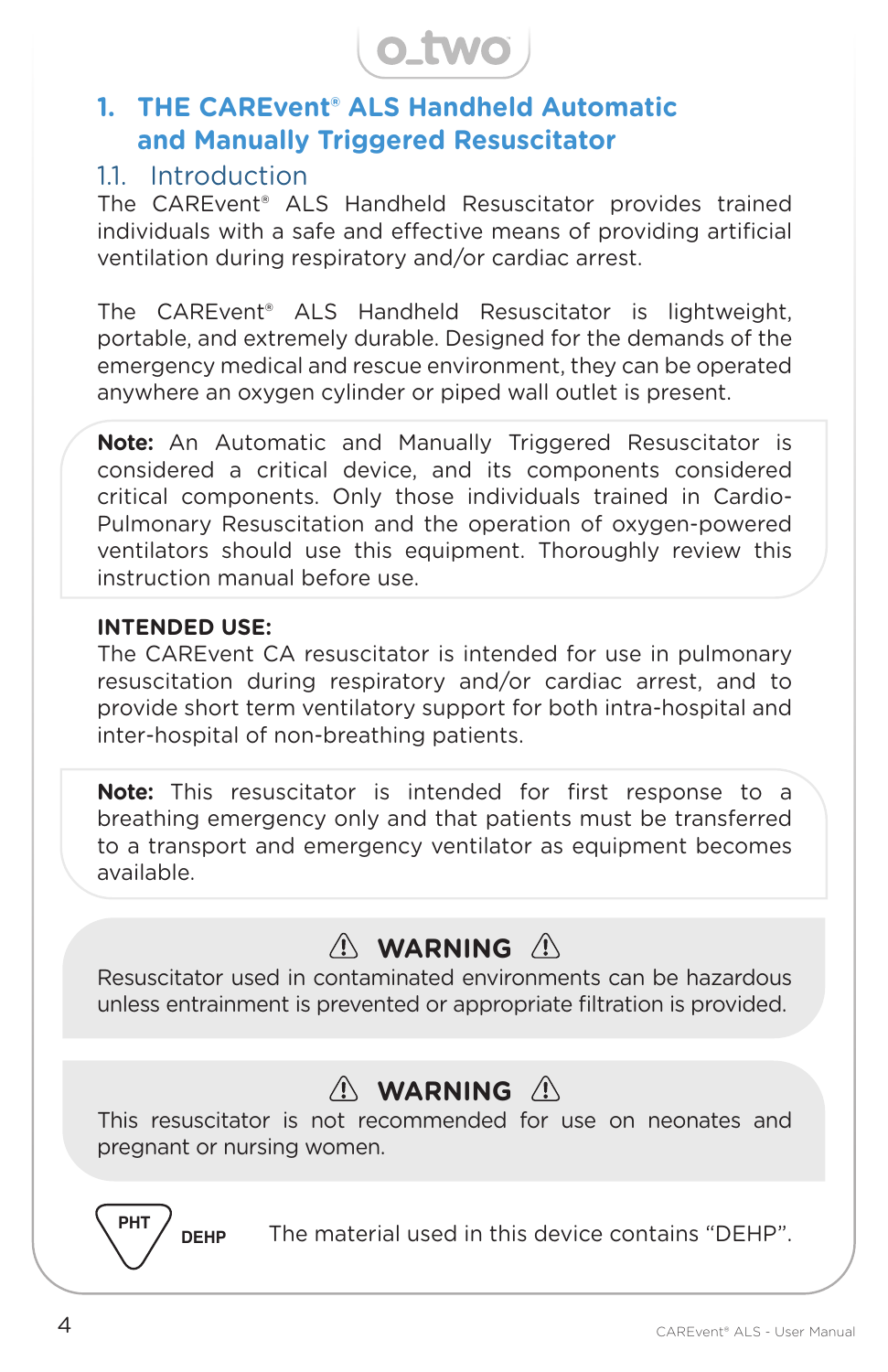

## **1. THE CAREvent® ALS Handheld Automatic and Manually Triggered Resuscitator**

#### 1.1. Introduction

The CAREvent® ALS Handheld Resuscitator provides trained individuals with a safe and effective means of providing artificial ventilation during respiratory and/or cardiac arrest.

The CAREvent® ALS Handheld Resuscitator is lightweight, portable, and extremely durable. Designed for the demands of the emergency medical and rescue environment, they can be operated anywhere an oxygen cylinder or piped wall outlet is present.

**Note:** An Automatic and Manually Triggered Resuscitator is considered a critical device, and its components considered critical components. Only those individuals trained in Cardio-Pulmonary Resuscitation and the operation of oxygen-powered ventilators should use this equipment. Thoroughly review this instruction manual before use.

#### **INTENDED USE:**

The CAREvent CA resuscitator is intended for use in pulmonary resuscitation during respiratory and/or cardiac arrest, and to provide short term ventilatory support for both intra-hospital and inter-hospital of non-breathing patients.

**Note:** This resuscitator is intended for first response to a breathing emergency only and that patients must be transferred to a transport and emergency ventilator as equipment becomes available.

# $\wedge$  WARNING  $\wedge$

Resuscitator used in contaminated environments can be hazardous unless entrainment is prevented or appropriate filtration is provided.

# $\wedge$  WARNING  $\wedge$

This resuscitator is not recommended for use on neonates and pregnant or nursing women.

**DEHP**

The material used in this device contains "DEHP".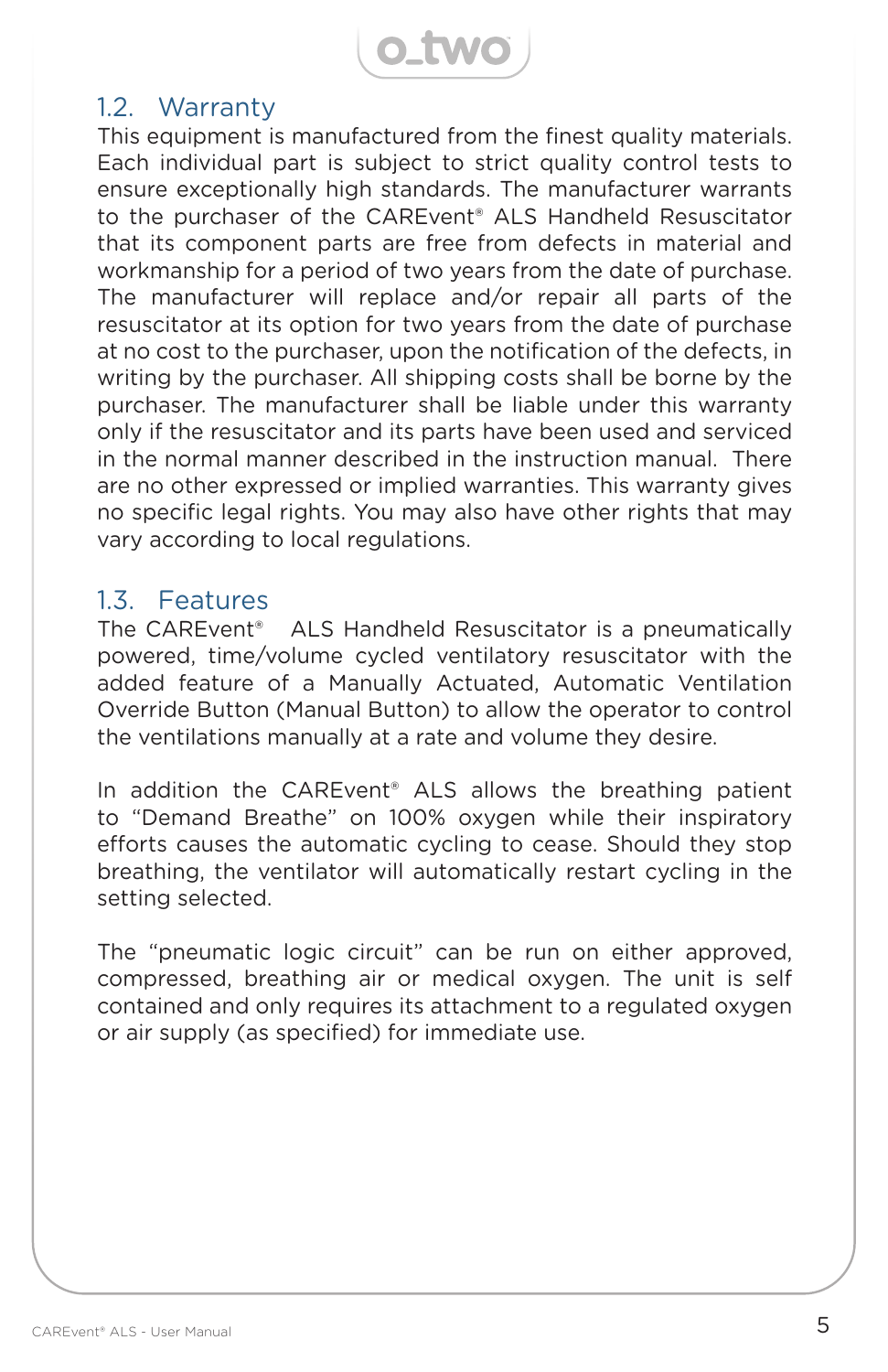**o\_two** 

#### 1.2. Warranty

This equipment is manufactured from the finest quality materials. Each individual part is subject to strict quality control tests to ensure exceptionally high standards. The manufacturer warrants to the purchaser of the CAREvent® ALS Handheld Resuscitator that its component parts are free from defects in material and workmanship for a period of two years from the date of purchase. The manufacturer will replace and/or repair all parts of the resuscitator at its option for two years from the date of purchase at no cost to the purchaser, upon the notification of the defects, in writing by the purchaser. All shipping costs shall be borne by the purchaser. The manufacturer shall be liable under this warranty only if the resuscitator and its parts have been used and serviced in the normal manner described in the instruction manual. There are no other expressed or implied warranties. This warranty gives no specific legal rights. You may also have other rights that may vary according to local regulations.

#### 1.3. Features

The CAREvent® ALS Handheld Resuscitator is a pneumatically powered, time/volume cycled ventilatory resuscitator with the added feature of a Manually Actuated, Automatic Ventilation Override Button (Manual Button) to allow the operator to control the ventilations manually at a rate and volume they desire.

In addition the CAREvent® ALS allows the breathing patient to "Demand Breathe" on 100% oxygen while their inspiratory efforts causes the automatic cycling to cease. Should they stop breathing, the ventilator will automatically restart cycling in the setting selected.

The "pneumatic logic circuit" can be run on either approved, compressed, breathing air or medical oxygen. The unit is self contained and only requires its attachment to a regulated oxygen or air supply (as specified) for immediate use.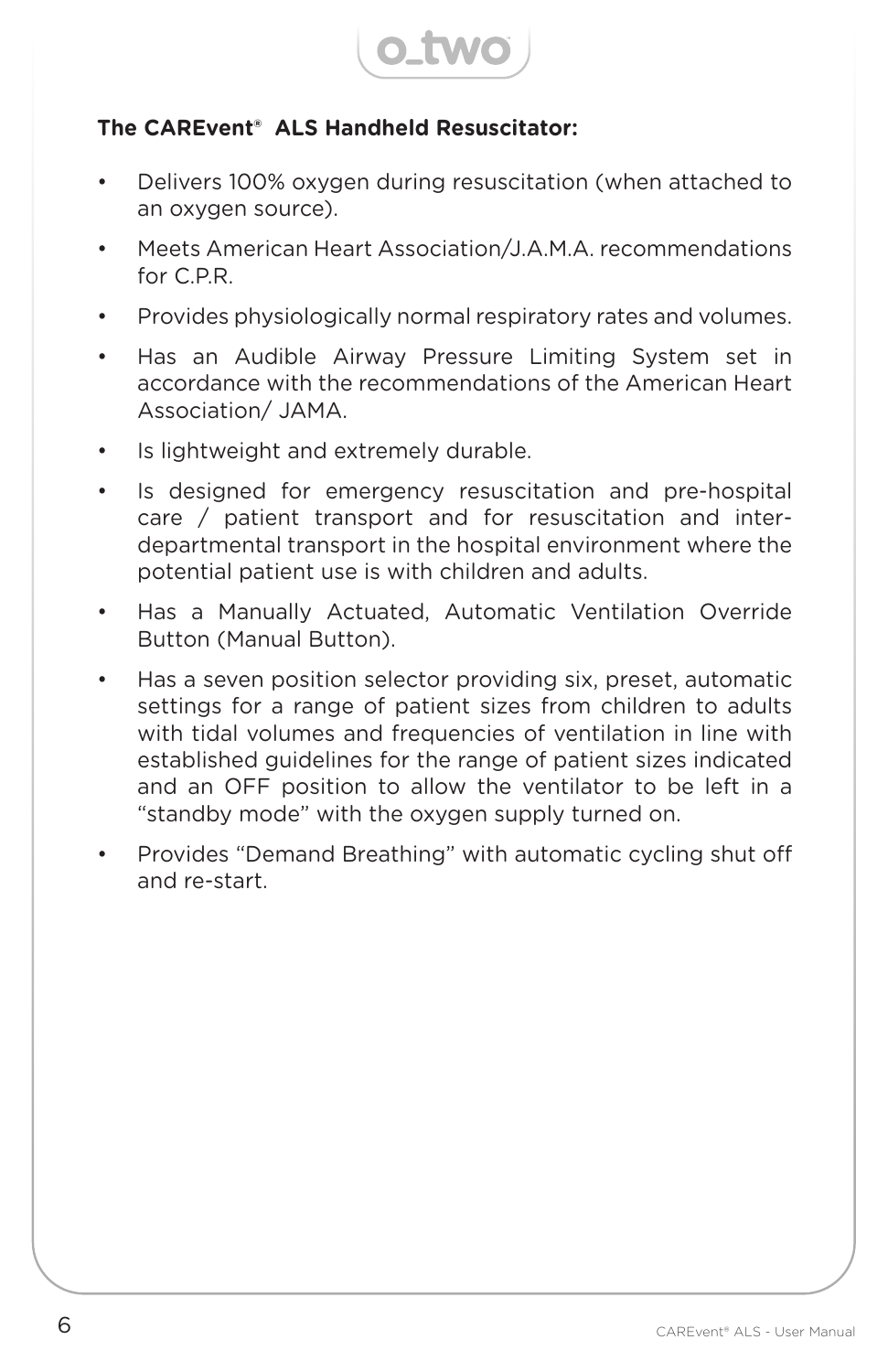

#### **The CAREvent® ALS Handheld Resuscitator:**

- Delivers 100% oxygen during resuscitation (when attached to an oxygen source).
- Meets American Heart Association/J.A.M.A. recommendations for C.P.R.
- Provides physiologically normal respiratory rates and volumes.
- Has an Audible Airway Pressure Limiting System set in accordance with the recommendations of the American Heart Association/ JAMA.
- Is lightweight and extremely durable.
- Is designed for emergency resuscitation and pre-hospital care / patient transport and for resuscitation and interdepartmental transport in the hospital environment where the potential patient use is with children and adults.
- Has a Manually Actuated, Automatic Ventilation Override Button (Manual Button).
- Has a seven position selector providing six, preset, automatic settings for a range of patient sizes from children to adults with tidal volumes and frequencies of ventilation in line with established guidelines for the range of patient sizes indicated and an OFF position to allow the ventilator to be left in a "standby mode" with the oxygen supply turned on.
- Provides "Demand Breathing" with automatic cycling shut off and re-start.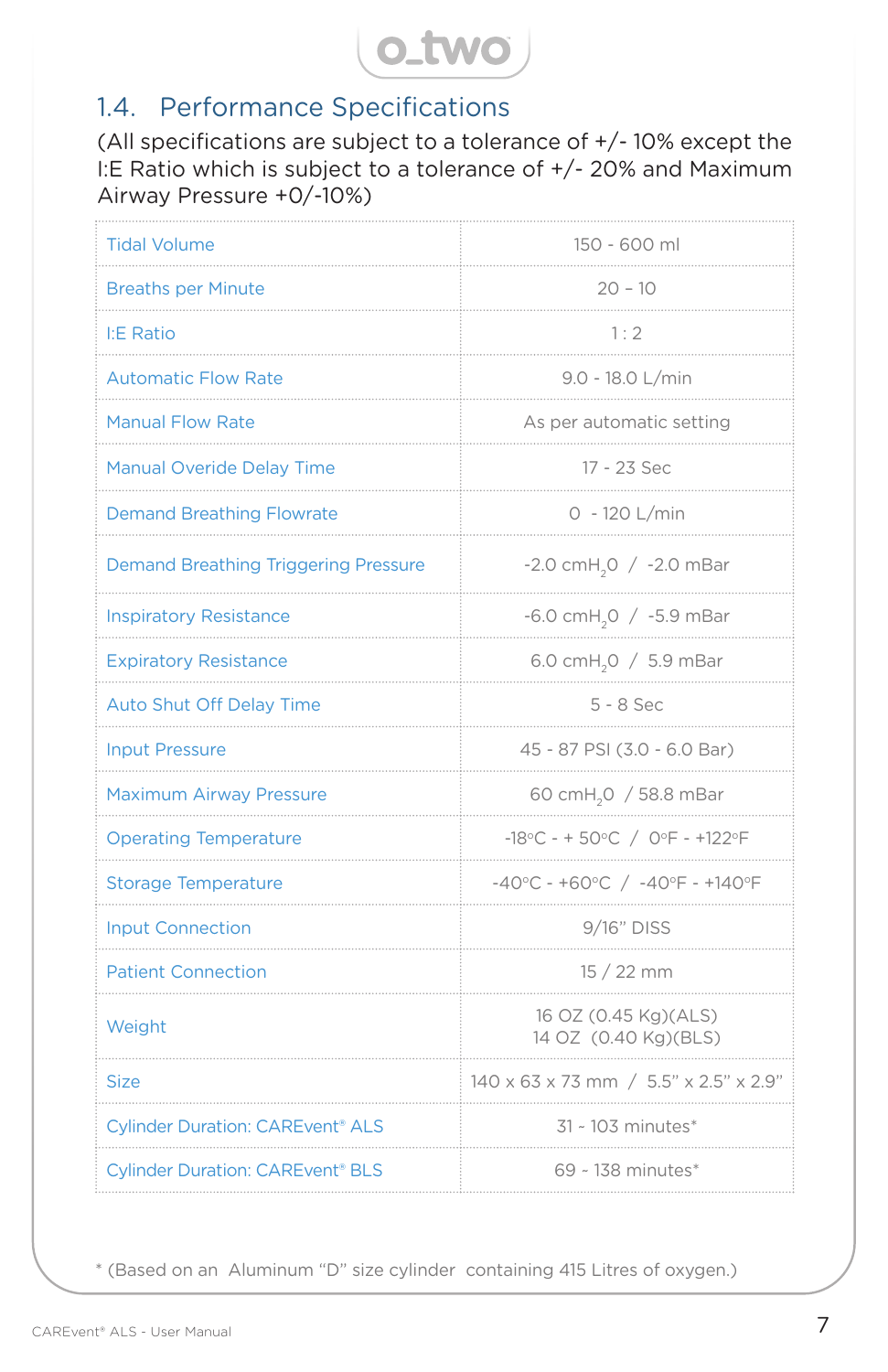

## 1.4. Performance Specifications

(All specifications are subject to a tolerance of +/- 10% except the I:E Ratio which is subject to a tolerance of +/- 20% and Maximum Airway Pressure +0/-10%)

| <b>Tidal Volume</b>                                | 150 - 600 ml                                                              |
|----------------------------------------------------|---------------------------------------------------------------------------|
| <b>Breaths per Minute</b>                          | $20 - 10$                                                                 |
| <b>I:E Ratio</b>                                   | 1:2                                                                       |
| <b>Automatic Flow Rate</b>                         | 9.0 - 18.0 L/min                                                          |
| <b>Manual Flow Rate</b>                            | As per automatic setting                                                  |
| <b>Manual Overide Delay Time</b>                   | 17 - 23 Sec                                                               |
| <b>Demand Breathing Flowrate</b>                   | 0 - 120 L/min                                                             |
| <b>Demand Breathing Triggering Pressure</b>        | $-2.0$ cmH <sub>2</sub> O $/ -2.0$ mBar                                   |
| <b>Inspiratory Resistance</b>                      | $-6.0$ cmH <sub>2</sub> O / $-5.9$ mBar                                   |
| <b>Expiratory Resistance</b>                       | 6.0 cmH <sub>2</sub> O / 5.9 mBar                                         |
| <b>Auto Shut Off Delay Time</b>                    | $5 - 8$ Sec                                                               |
| <b>Input Pressure</b>                              | 45 - 87 PSI (3.0 - 6.0 Bar)                                               |
| <b>Maximum Airway Pressure</b>                     | 60 cmH <sub>2</sub> 0 / 58.8 mBar                                         |
| <b>Operating Temperature</b>                       | -18°C - + 50°C / 0°F - +122°F                                             |
| <b>Storage Temperature</b>                         | $-40^{\circ}$ C - +60 $^{\circ}$ C / -40 $^{\circ}$ F - +140 $^{\circ}$ F |
| <b>Input Connection</b>                            | 9/16" DISS                                                                |
| <b>Patient Connection</b>                          | $15/22$ mm                                                                |
| Weight                                             | 16 OZ (0.45 Kg)(ALS)<br>14 OZ (0.40 Kg)(BLS)                              |
| <b>Size</b>                                        | 140 x 63 x 73 mm / 5.5" x 2.5" x 2.9"                                     |
| <b>Cylinder Duration: CAREvent<sup>®</sup> ALS</b> | 31 ~ 103 minutes*                                                         |
| <b>Cylinder Duration: CAREvent® BLS</b>            | 69 ~ 138 minutes*                                                         |

\* (Based on an Aluminum "D" size cylinder containing 415 Litres of oxygen.)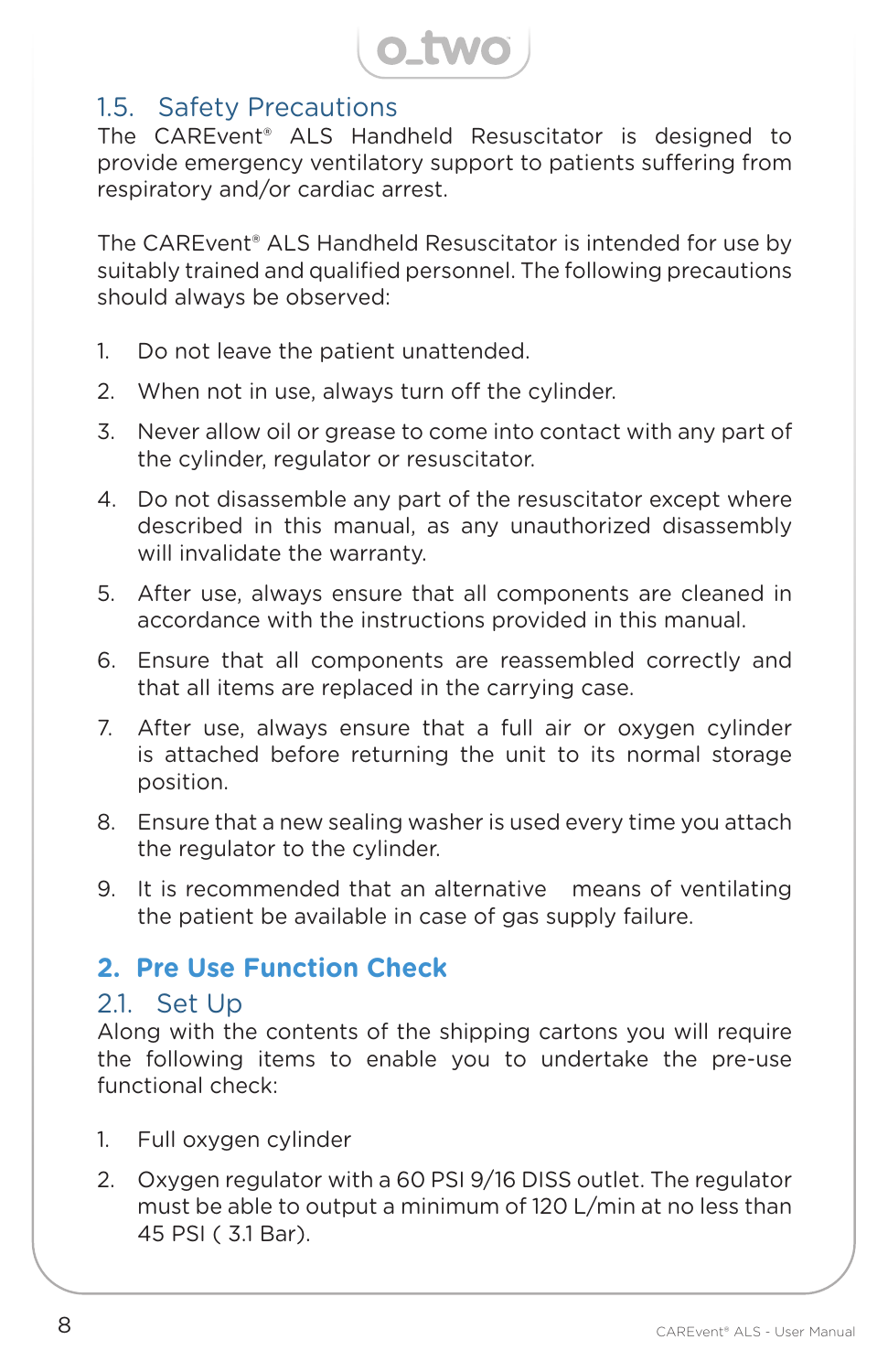

### 1.5. Safety Precautions

The CAREvent® ALS Handheld Resuscitator is designed to provide emergency ventilatory support to patients suffering from respiratory and/or cardiac arrest.

The CAREvent® ALS Handheld Resuscitator is intended for use by suitably trained and qualified personnel. The following precautions should always be observed:

- 1. Do not leave the patient unattended.
- 2. When not in use, always turn off the cylinder.
- 3. Never allow oil or grease to come into contact with any part of the cylinder, regulator or resuscitator.
- 4. Do not disassemble any part of the resuscitator except where described in this manual, as any unauthorized disassembly will invalidate the warranty.
- 5. After use, always ensure that all components are cleaned in accordance with the instructions provided in this manual.
- 6. Ensure that all components are reassembled correctly and that all items are replaced in the carrying case.
- 7. After use, always ensure that a full air or oxygen cylinder is attached before returning the unit to its normal storage position.
- 8. Ensure that a new sealing washer is used every time you attach the regulator to the cylinder.
- 9. It is recommended that an alternative means of ventilating the patient be available in case of gas supply failure.

### **2. Pre Use Function Check**

#### 2.1. Set Up

Along with the contents of the shipping cartons you will require the following items to enable you to undertake the pre-use functional check:

- 1. Full oxygen cylinder
- 2. Oxygen regulator with a 60 PSI 9/16 DISS outlet. The regulator must be able to output a minimum of 120 L/min at no less than 45 PSI ( 3.1 Bar).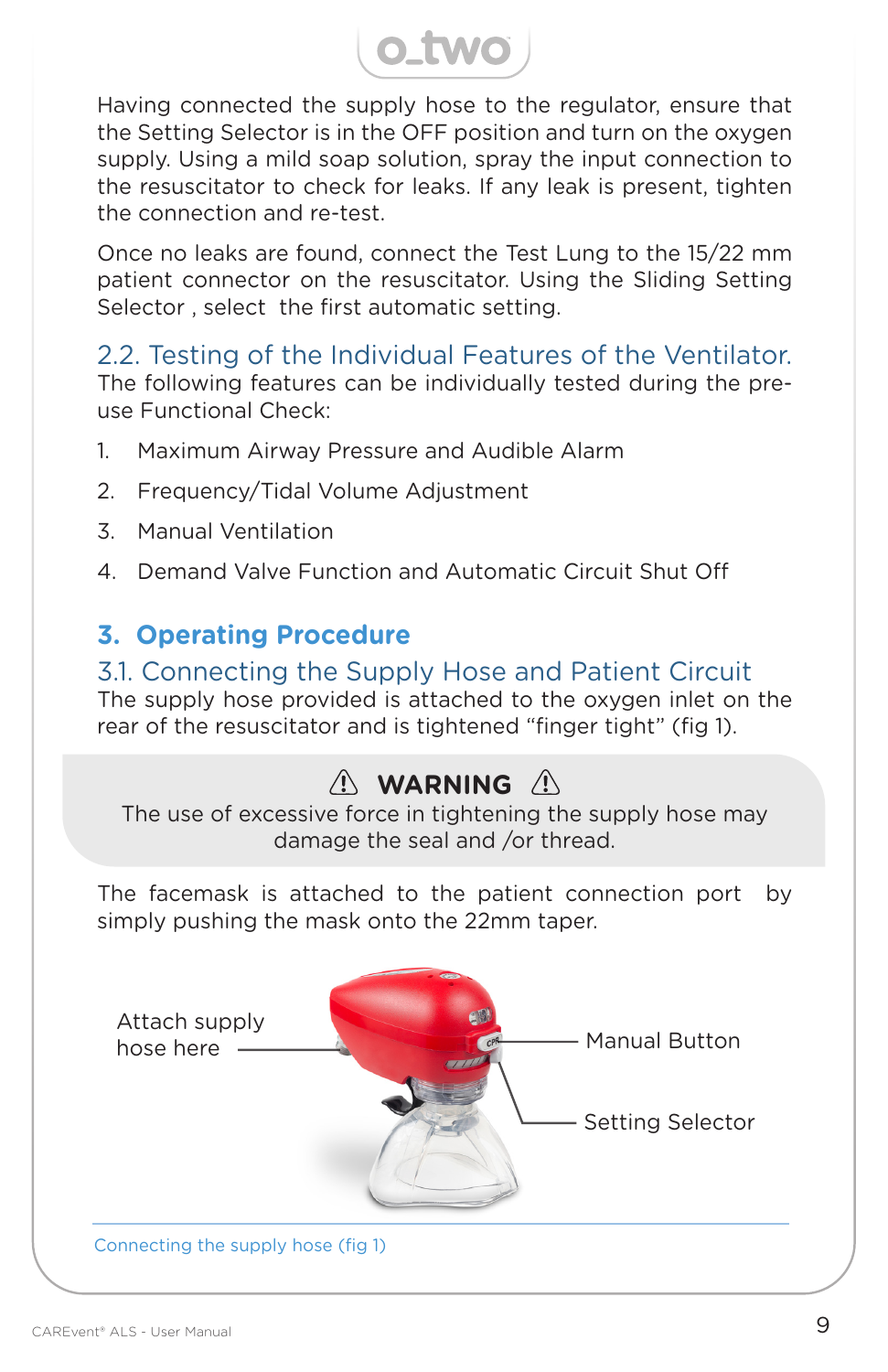

Having connected the supply hose to the regulator, ensure that the Setting Selector is in the OFF position and turn on the oxygen supply. Using a mild soap solution, spray the input connection to the resuscitator to check for leaks. If any leak is present, tighten the connection and re-test.

Once no leaks are found, connect the Test Lung to the 15/22 mm patient connector on the resuscitator. Using the Sliding Setting Selector , select the first automatic setting.

2.2. Testing of the Individual Features of the Ventilator. The following features can be individually tested during the preuse Functional Check:

- 1. Maximum Airway Pressure and Audible Alarm
- 2. Frequency/Tidal Volume Adjustment
- 3. Manual Ventilation
- 4. Demand Valve Function and Automatic Circuit Shut Off

## **3. Operating Procedure**

#### 3.1. Connecting the Supply Hose and Patient Circuit

The supply hose provided is attached to the oxygen inlet on the rear of the resuscitator and is tightened "finger tight" (fig 1).

# **WARNING**

The use of excessive force in tightening the supply hose may damage the seal and /or thread.

The facemask is attached to the patient connection port by simply pushing the mask onto the 22mm taper.

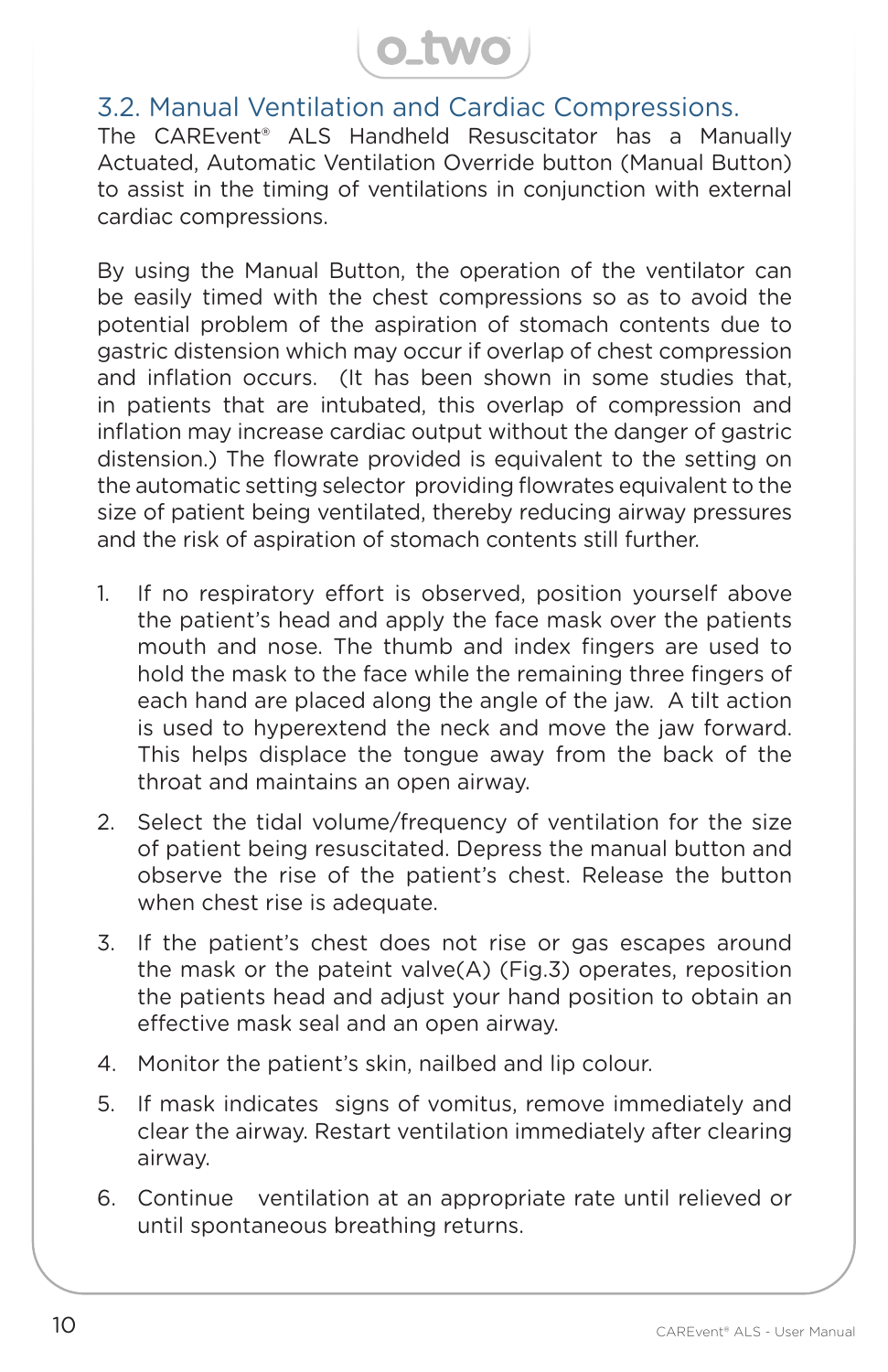

### 3.2. Manual Ventilation and Cardiac Compressions.

The CAREvent® ALS Handheld Resuscitator has a Manually Actuated, Automatic Ventilation Override button (Manual Button) to assist in the timing of ventilations in conjunction with external cardiac compressions.

By using the Manual Button, the operation of the ventilator can be easily timed with the chest compressions so as to avoid the potential problem of the aspiration of stomach contents due to gastric distension which may occur if overlap of chest compression and inflation occurs. (It has been shown in some studies that, in patients that are intubated, this overlap of compression and inflation may increase cardiac output without the danger of gastric distension.) The flowrate provided is equivalent to the setting on the automatic setting selector providing flowrates equivalent to the size of patient being ventilated, thereby reducing airway pressures and the risk of aspiration of stomach contents still further.

- 1. If no respiratory effort is observed, position yourself above the patient's head and apply the face mask over the patients mouth and nose. The thumb and index fingers are used to hold the mask to the face while the remaining three fingers of each hand are placed along the angle of the jaw. A tilt action is used to hyperextend the neck and move the jaw forward. This helps displace the tongue away from the back of the throat and maintains an open airway.
- 2. Select the tidal volume/frequency of ventilation for the size of patient being resuscitated. Depress the manual button and observe the rise of the patient's chest. Release the button when chest rise is adequate.
- 3. If the patient's chest does not rise or gas escapes around the mask or the pateint valve(A) (Fig.3) operates, reposition the patients head and adjust your hand position to obtain an effective mask seal and an open airway.
- 4. Monitor the patient's skin, nailbed and lip colour.
- 5. If mask indicates signs of vomitus, remove immediately and clear the airway. Restart ventilation immediately after clearing airway.
- 6. Continue ventilation at an appropriate rate until relieved or until spontaneous breathing returns.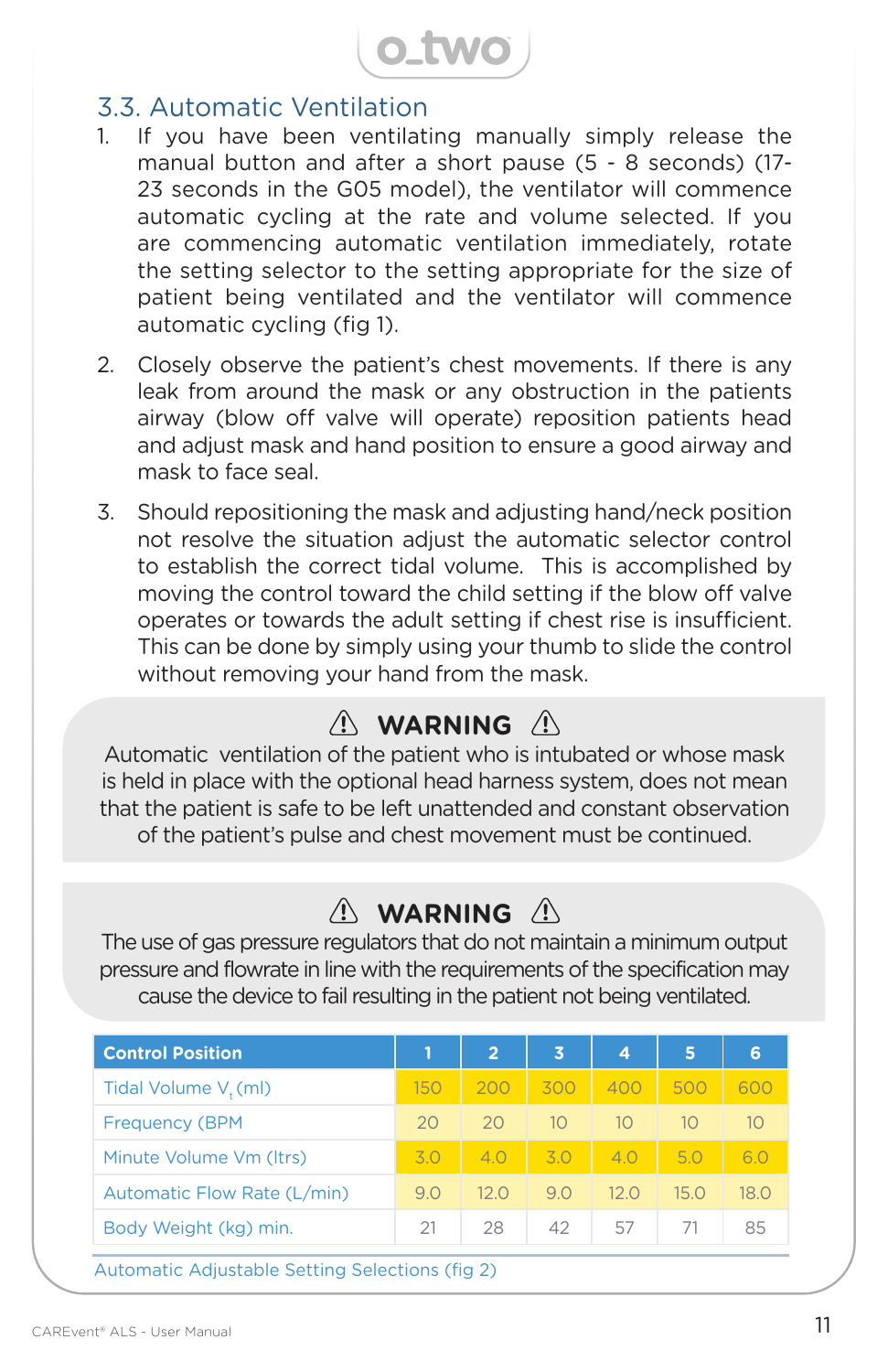**O\_TWO** 

#### 3.3. Automatic Ventilation

- 1. If you have been ventilating manually simply release the manual button and after a short pause (5 - 8 seconds) (17- 23 seconds in the G05 model), the ventilator will commence automatic cycling at the rate and volume selected. If you are commencing automatic ventilation immediately, rotate the setting selector to the setting appropriate for the size of patient being ventilated and the ventilator will commence automatic cycling (fig 1).
- 2. Closely observe the patient's chest movements. If there is any leak from around the mask or any obstruction in the patients airway (blow off valve will operate) reposition patients head and adjust mask and hand position to ensure a good airway and mask to face seal.
- 3. Should repositioning the mask and adjusting hand/neck position not resolve the situation adjust the automatic selector control to establish the correct tidal volume. This is accomplished by moving the control toward the child setting if the blow off valve operates or towards the adult setting if chest rise is insufficient. This can be done by simply using your thumb to slide the control without removing your hand from the mask.

## $\wedge$  WARNING  $\wedge$

Automatic ventilation of the patient who is intubated or whose mask is held in place with the optional head harness system, does not mean that the patient is safe to be left unattended and constant observation of the patient's pulse and chest movement must be continued.

## $\wedge$  WARNING  $\wedge$

The use of gas pressure regulators that do not maintain a minimum output pressure and flowrate in line with the requirements of the specification may cause the device to fail resulting in the patient not being ventilated.

| <b>Control Position</b>     |     | $\overline{2}$ | 3   | 4              | 5          | 6    |
|-----------------------------|-----|----------------|-----|----------------|------------|------|
| Tidal Volume V, (ml)        | 150 | 200            | 300 | 400            | 500        | 600  |
| <b>Frequency (BPM</b>       | 20  | 20             | 10  | 1 <sup>O</sup> | $1\Omega$  | 10   |
| Minute Volume Vm (Itrs)     | 3.0 | 4.0            | 3.0 | 4.0            | 5.0        | 6.0  |
| Automatic Flow Rate (L/min) | 9.0 | 12.0           | 9.0 | 120            | 15 O       | 18.O |
| Body Weight (kg) min.       | 21  | 28             | 42  | 57             | $\sqrt{2}$ | 85   |
|                             |     |                |     |                |            |      |

Automatic Adjustable Setting Selections (fig 2)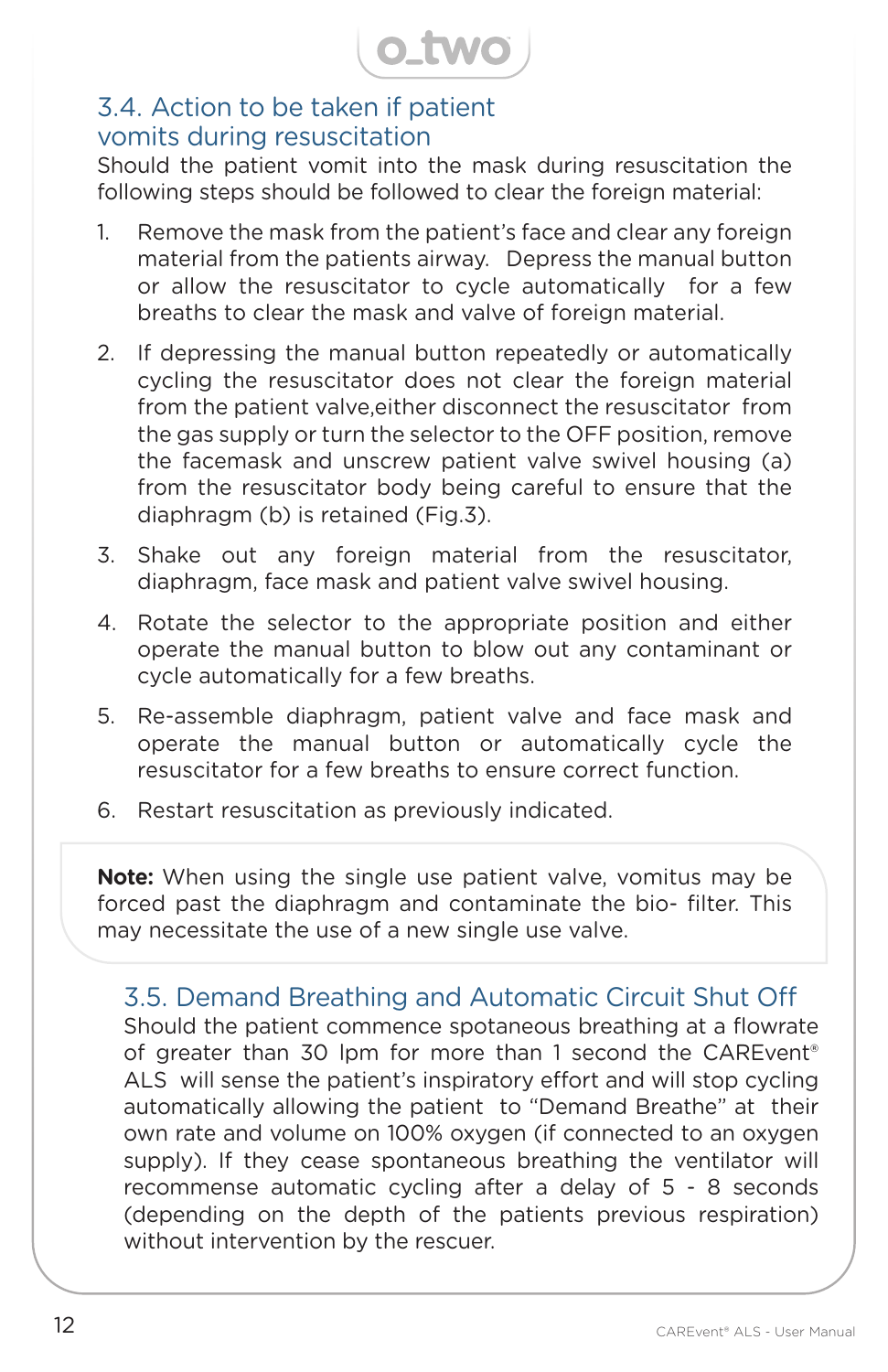

### 3.4. Action to be taken if patient vomits during resuscitation

Should the patient vomit into the mask during resuscitation the following steps should be followed to clear the foreign material:

- 1. Remove the mask from the patient's face and clear any foreign material from the patients airway. Depress the manual button or allow the resuscitator to cycle automatically for a few breaths to clear the mask and valve of foreign material.
- 2. If depressing the manual button repeatedly or automatically cycling the resuscitator does not clear the foreign material from the patient valve,either disconnect the resuscitator from the gas supply or turn the selector to the OFF position, remove the facemask and unscrew patient valve swivel housing (a) from the resuscitator body being careful to ensure that the diaphragm (b) is retained (Fig.3).
- 3. Shake out any foreign material from the resuscitator, diaphragm, face mask and patient valve swivel housing.
- 4. Rotate the selector to the appropriate position and either operate the manual button to blow out any contaminant or cycle automatically for a few breaths.
- 5. Re-assemble diaphragm, patient valve and face mask and operate the manual button or automatically cycle the resuscitator for a few breaths to ensure correct function.
- 6. Restart resuscitation as previously indicated.

**Note:** When using the single use patient valve, vomitus may be forced past the diaphragm and contaminate the bio- filter. This may necessitate the use of a new single use valve.

3.5. Demand Breathing and Automatic Circuit Shut Off Should the patient commence spotaneous breathing at a flowrate of greater than 30 lpm for more than 1 second the CAREvent<sup>®</sup> ALS will sense the patient's inspiratory effort and will stop cycling automatically allowing the patient to "Demand Breathe" at their own rate and volume on 100% oxygen (if connected to an oxygen supply). If they cease spontaneous breathing the ventilator will recommense automatic cycling after a delay of 5 - 8 seconds (depending on the depth of the patients previous respiration) without intervention by the rescuer.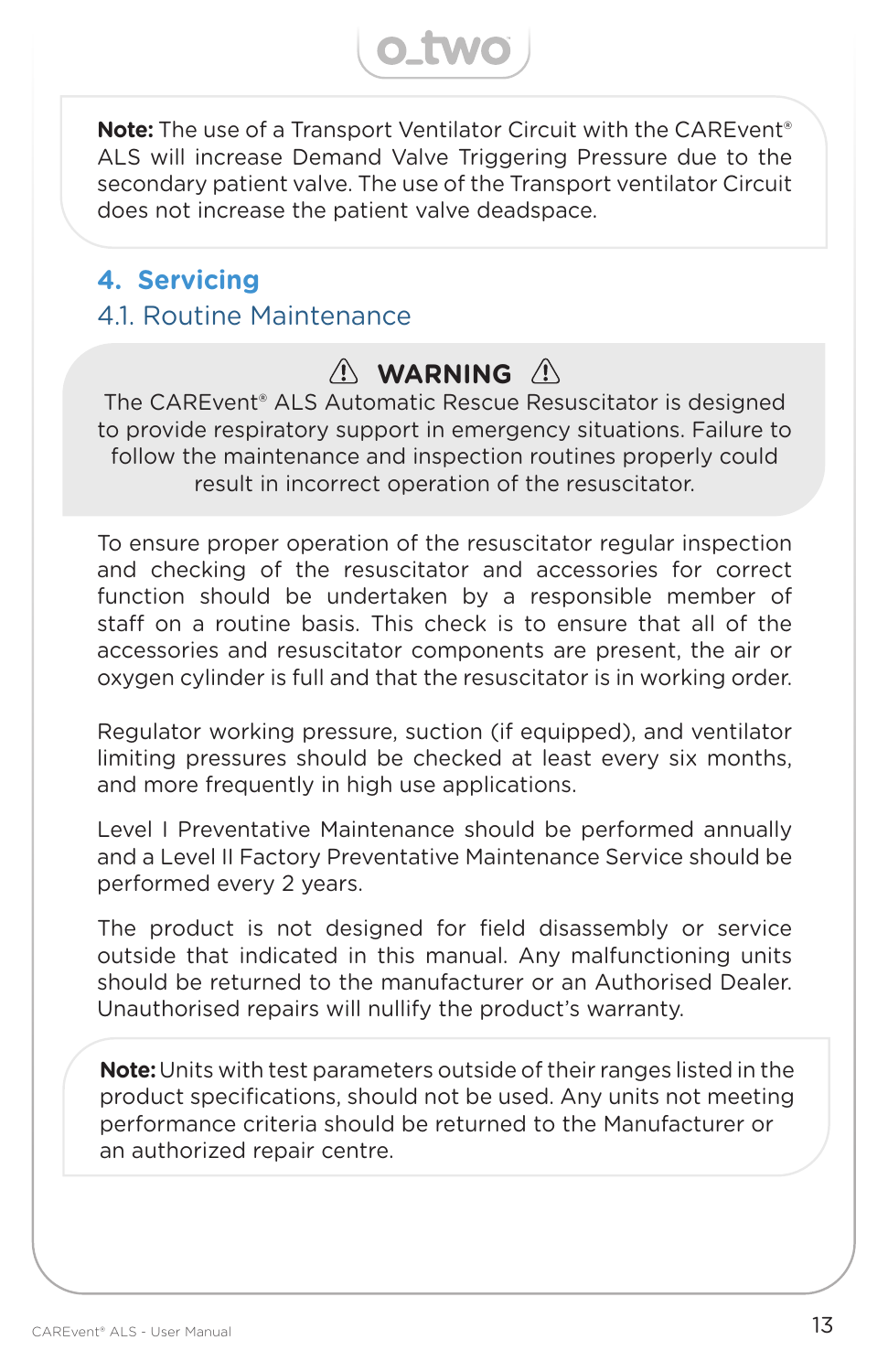**Note:** The use of a Transport Ventilator Circuit with the CAREvent<sup>®</sup> ALS will increase Demand Valve Triggering Pressure due to the secondary patient valve. The use of the Transport ventilator Circuit does not increase the patient valve deadspace.

**O\_two** 

## **4. Servicing** 4.1. Routine Maintenance

## $\wedge$  WARNING  $\wedge$

The CAREvent® ALS Automatic Rescue Resuscitator is designed to provide respiratory support in emergency situations. Failure to follow the maintenance and inspection routines properly could result in incorrect operation of the resuscitator.

To ensure proper operation of the resuscitator regular inspection and checking of the resuscitator and accessories for correct function should be undertaken by a responsible member of staff on a routine basis. This check is to ensure that all of the accessories and resuscitator components are present, the air or oxygen cylinder is full and that the resuscitator is in working order.

Regulator working pressure, suction (if equipped), and ventilator limiting pressures should be checked at least every six months, and more frequently in high use applications.

Level I Preventative Maintenance should be performed annually and a Level II Factory Preventative Maintenance Service should be performed every 2 years.

The product is not designed for field disassembly or service outside that indicated in this manual. Any malfunctioning units should be returned to the manufacturer or an Authorised Dealer. Unauthorised repairs will nullify the product's warranty.

**Note:** Units with test parameters outside of their ranges listed in the product specifications, should not be used. Any units not meeting performance criteria should be returned to the Manufacturer or an authorized repair centre.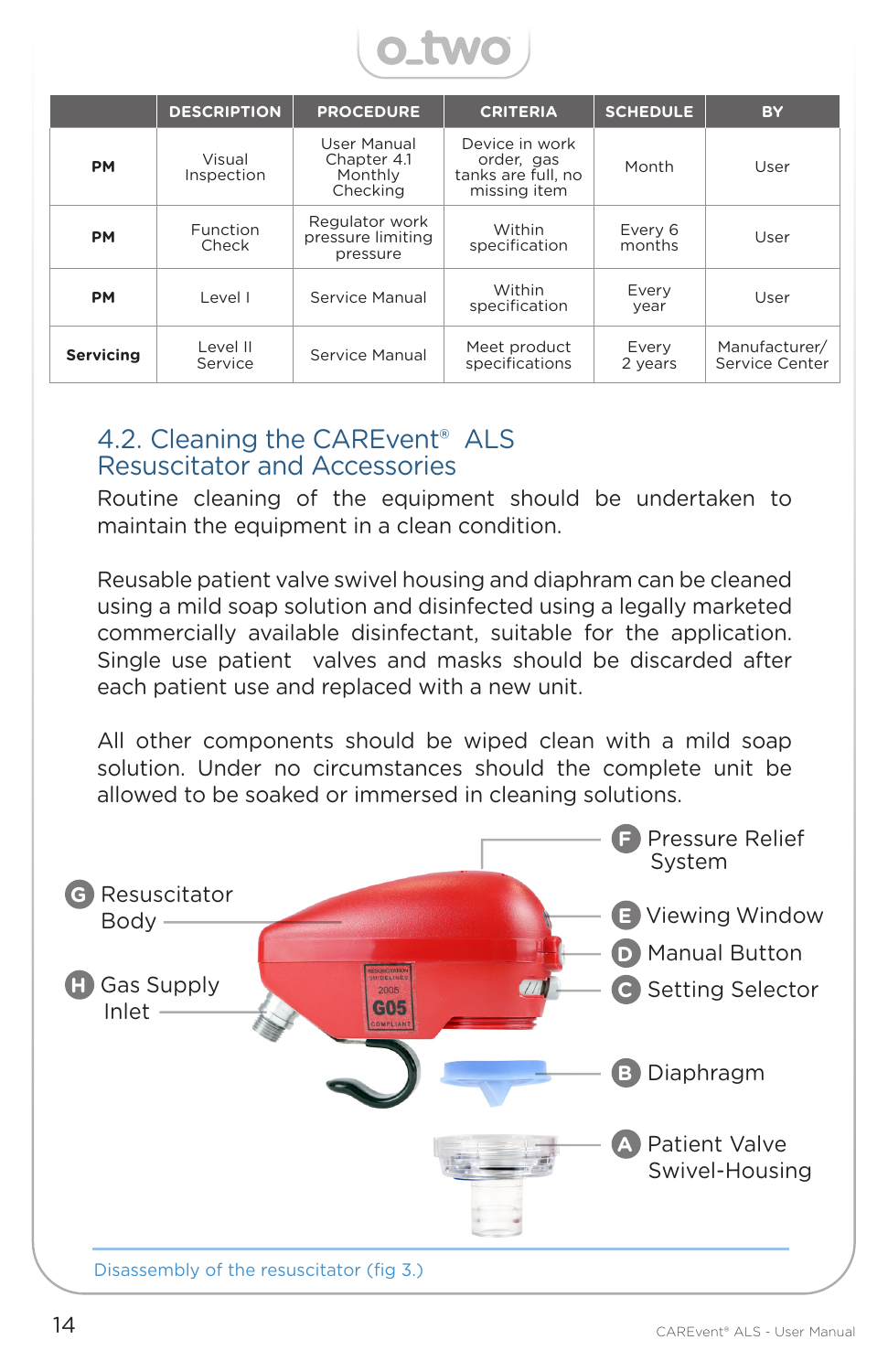

|                  | <b>DESCRIPTION</b>   | <b>PROCEDURE</b>                                  | <b>CRITERIA</b>                                                    | <b>SCHEDULE</b>   | <b>BY</b>                       |
|------------------|----------------------|---------------------------------------------------|--------------------------------------------------------------------|-------------------|---------------------------------|
| <b>PM</b>        | Visual<br>Inspection | User Manual<br>Chapter 4.1<br>Monthly<br>Checking | Device in work<br>order, gas<br>tanks are full, no<br>missing item | Month             | User                            |
| <b>PM</b>        | Function<br>Check    | Regulator work<br>pressure limiting<br>pressure   | <b>Within</b><br>specification                                     | Every 6<br>months | User                            |
| <b>PM</b>        | Level I              | Service Manual                                    | <b>Within</b><br>specification                                     | Every<br>year     | User                            |
| <b>Servicing</b> | Level II<br>Service  | Service Manual                                    | Meet product<br>specifications                                     | Every<br>2 years  | Manufacturer/<br>Service Center |

#### 4.2. Cleaning the CAREvent<sup>®</sup> ALS Resuscitator and Accessories

Routine cleaning of the equipment should be undertaken to maintain the equipment in a clean condition.

Reusable patient valve swivel housing and diaphram can be cleaned using a mild soap solution and disinfected using a legally marketed commercially available disinfectant, suitable for the application. Single use patient valves and masks should be discarded after each patient use and replaced with a new unit.

All other components should be wiped clean with a mild soap solution. Under no circumstances should the complete unit be allowed to be soaked or immersed in cleaning solutions.

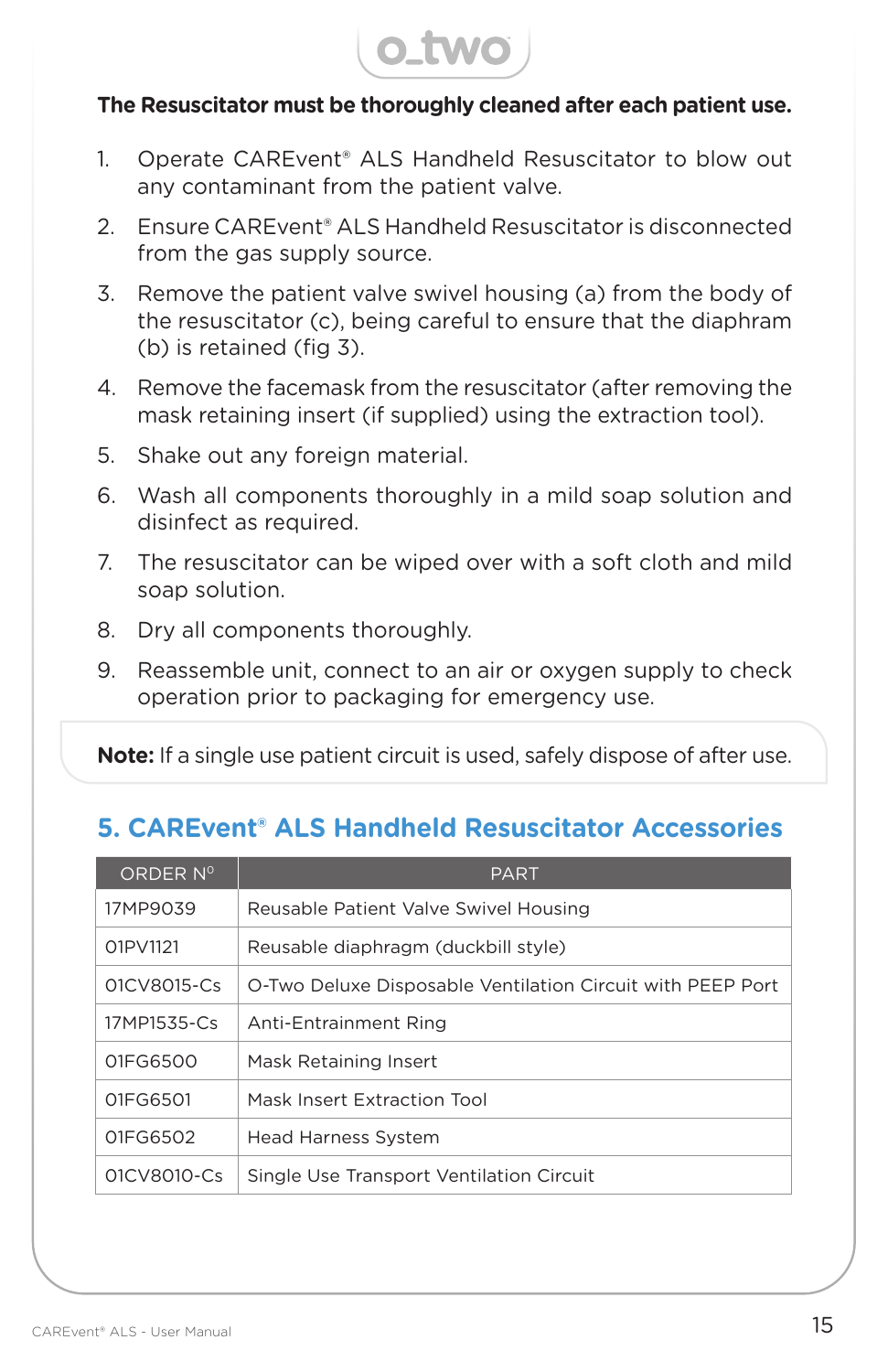

#### **The Resuscitator must be thoroughly cleaned after each patient use.**

- 1. Operate CAREvent® ALS Handheld Resuscitator to blow out any contaminant from the patient valve.
- 2. Ensure CAREvent® ALS Handheld Resuscitator is disconnected from the gas supply source.
- 3. Remove the patient valve swivel housing (a) from the body of the resuscitator (c), being careful to ensure that the diaphram (b) is retained (fig 3).
- 4. Remove the facemask from the resuscitator (after removing the mask retaining insert (if supplied) using the extraction tool).
- 5. Shake out any foreign material.
- 6. Wash all components thoroughly in a mild soap solution and disinfect as required.
- 7. The resuscitator can be wiped over with a soft cloth and mild soap solution.
- 8. Dry all components thoroughly.
- 9. Reassemble unit, connect to an air or oxygen supply to check operation prior to packaging for emergency use.

**Note:** If a single use patient circuit is used, safely dispose of after use.

## **5. CAREvent® ALS Handheld Resuscitator Accessories**

| ORDER Nº    | <b>PART</b>                                                |
|-------------|------------------------------------------------------------|
| 17MP9039    | Reusable Patient Valve Swivel Housing                      |
| 01PV1121    | Reusable diaphragm (duckbill style)                        |
| 01CV8015-Cs | O-Two Deluxe Disposable Ventilation Circuit with PEEP Port |
| 17MP1535-Cs | Anti-Entrainment Ring                                      |
| 01FG6500    | Mask Retaining Insert                                      |
| 01FG6501    | Mask Insert Extraction Tool                                |
| 01FG6502    | <b>Head Harness System</b>                                 |
| 01CV8010-Cs | Single Use Transport Ventilation Circuit                   |